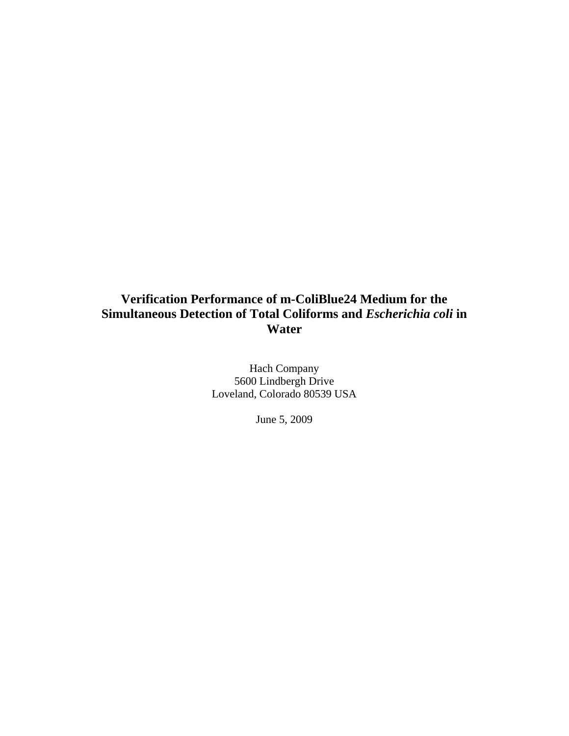Hach Company 5600 Lindbergh Drive Loveland, Colorado 80539 USA

June 5, 2009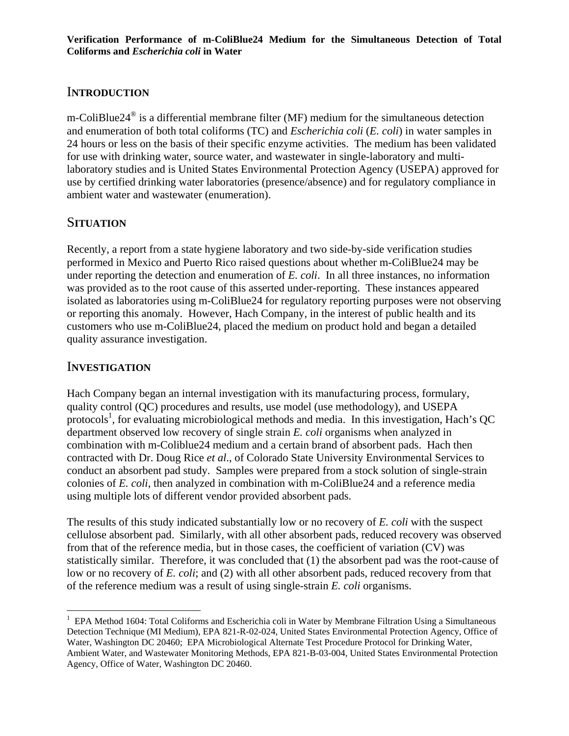## I**NTRODUCTION**

m-ColiBlue24® is a differential membrane filter (MF) medium for the simultaneous detection and enumeration of both total coliforms (TC) and *Escherichia coli* (*E. coli*) in water samples in 24 hours or less on the basis of their specific enzyme activities. The medium has been validated for use with drinking water, source water, and wastewater in single-laboratory and multilaboratory studies and is United States Environmental Protection Agency (USEPA) approved for use by certified drinking water laboratories (presence/absence) and for regulatory compliance in ambient water and wastewater (enumeration).

## S**ITUATION**

Recently, a report from a state hygiene laboratory and two side-by-side verification studies performed in Mexico and Puerto Rico raised questions about whether m-ColiBlue24 may be under reporting the detection and enumeration of *E. coli*. In all three instances, no information was provided as to the root cause of this asserted under-reporting. These instances appeared isolated as laboratories using m-ColiBlue24 for regulatory reporting purposes were not observing or reporting this anomaly. However, Hach Company, in the interest of public health and its customers who use m-ColiBlue24, placed the medium on product hold and began a detailed quality assurance investigation.

## I**NVESTIGATION**

 $\overline{a}$ 

Hach Company began an internal investigation with its manufacturing process, formulary, quality control (QC) procedures and results, use model (use methodology), and USEPA protocols<sup>1</sup>, for evaluating microbiological methods and media. In this investigation, Hach's QC department observed low recovery of single strain *E. coli* organisms when analyzed in combination with m-Coliblue24 medium and a certain brand of absorbent pads. Hach then contracted with Dr. Doug Rice *et al*., of Colorado State University Environmental Services to conduct an absorbent pad study. Samples were prepared from a stock solution of single-strain colonies of *E. coli*, then analyzed in combination with m-ColiBlue24 and a reference media using multiple lots of different vendor provided absorbent pads.

The results of this study indicated substantially low or no recovery of *E. coli* with the suspect cellulose absorbent pad. Similarly, with all other absorbent pads, reduced recovery was observed from that of the reference media, but in those cases, the coefficient of variation (CV) was statistically similar. Therefore, it was concluded that (1) the absorbent pad was the root-cause of low or no recovery of *E. coli*; and (2) with all other absorbent pads, reduced recovery from that of the reference medium was a result of using single-strain *E. coli* organisms.

<sup>&</sup>lt;sup>1</sup> EPA Method 1604: Total Coliforms and Escherichia coli in Water by Membrane Filtration Using a Simultaneous Detection Technique (MI Medium), EPA 821-R-02-024, United States Environmental Protection Agency, Office of Water, Washington DC 20460; EPA Microbiological Alternate Test Procedure Protocol for Drinking Water, Ambient Water, and Wastewater Monitoring Methods, EPA 821-B-03-004, United States Environmental Protection Agency, Office of Water, Washington DC 20460.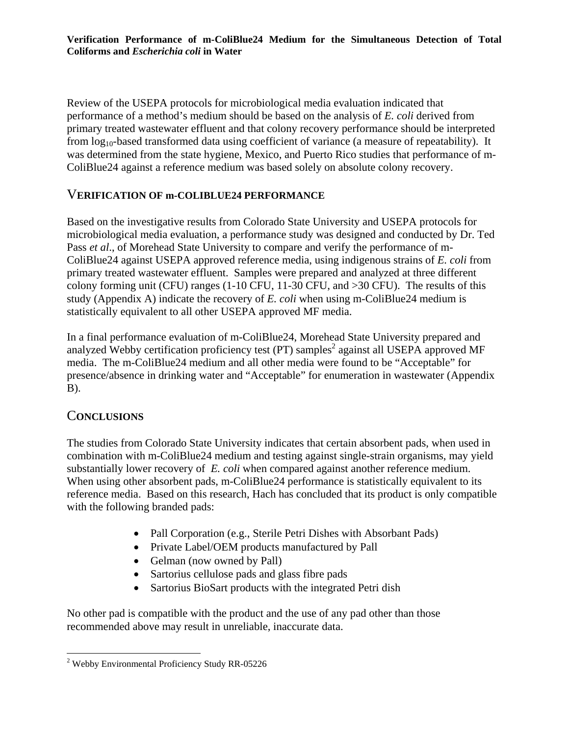Review of the USEPA protocols for microbiological media evaluation indicated that performance of a method's medium should be based on the analysis of *E. coli* derived from primary treated wastewater effluent and that colony recovery performance should be interpreted from  $log_{10}$ -based transformed data using coefficient of variance (a measure of repeatability). It was determined from the state hygiene, Mexico, and Puerto Rico studies that performance of m-ColiBlue24 against a reference medium was based solely on absolute colony recovery.

#### V**ERIFICATION OF m-COLIBLUE24 PERFORMANCE**

Based on the investigative results from Colorado State University and USEPA protocols for microbiological media evaluation, a performance study was designed and conducted by Dr. Ted Pass *et al*., of Morehead State University to compare and verify the performance of m-ColiBlue24 against USEPA approved reference media, using indigenous strains of *E. coli* from primary treated wastewater effluent. Samples were prepared and analyzed at three different colony forming unit (CFU) ranges (1-10 CFU, 11-30 CFU, and >30 CFU). The results of this study (Appendix A) indicate the recovery of *E. coli* when using m-ColiBlue24 medium is statistically equivalent to all other USEPA approved MF media.

In a final performance evaluation of m-ColiBlue24, Morehead State University prepared and analyzed Webby certification proficiency test (PT) samples<sup>2</sup> against all USEPA approved MF media. The m-ColiBlue24 medium and all other media were found to be "Acceptable" for presence/absence in drinking water and "Acceptable" for enumeration in wastewater (Appendix B).

#### C**ONCLUSIONS**

The studies from Colorado State University indicates that certain absorbent pads, when used in combination with m-ColiBlue24 medium and testing against single-strain organisms, may yield substantially lower recovery of *E. coli* when compared against another reference medium. When using other absorbent pads, m-ColiBlue24 performance is statistically equivalent to its reference media. Based on this research, Hach has concluded that its product is only compatible with the following branded pads:

- Pall Corporation (e.g., Sterile Petri Dishes with Absorbant Pads)
- Private Label/OEM products manufactured by Pall
- Gelman (now owned by Pall)
- Sartorius cellulose pads and glass fibre pads
- Sartorius BioSart products with the integrated Petri dish

No other pad is compatible with the product and the use of any pad other than those recommended above may result in unreliable, inaccurate data.

 $\overline{a}$ <sup>2</sup> Webby Environmental Proficiency Study RR-05226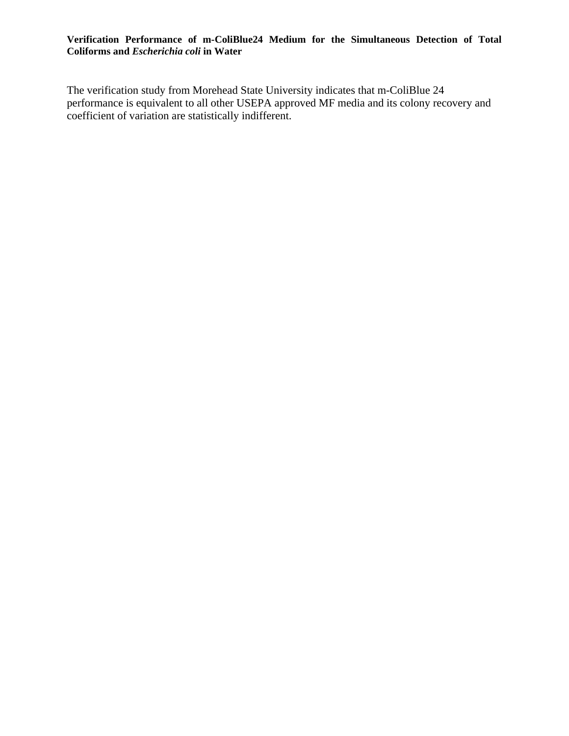The verification study from Morehead State University indicates that m-ColiBlue 24 performance is equivalent to all other USEPA approved MF media and its colony recovery and coefficient of variation are statistically indifferent.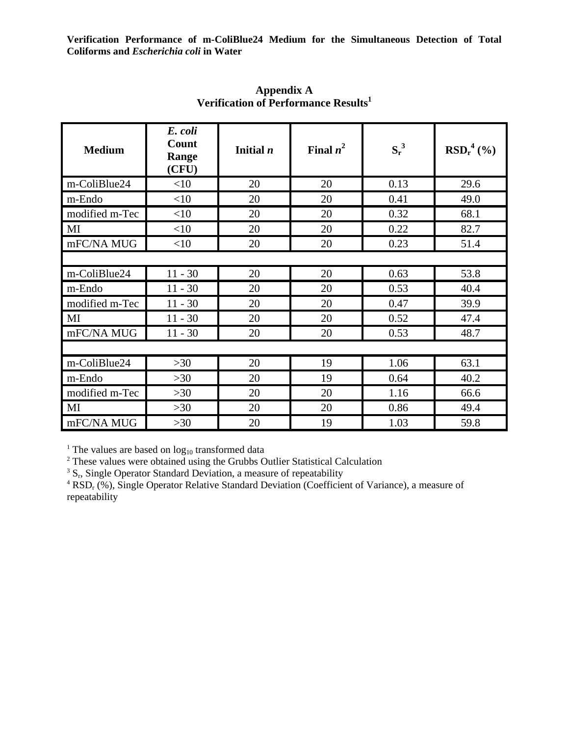| <b>Medium</b>  | E. coli<br>Count<br>Range<br>(CFU) | Initial $n$ | Final $n^2$ | $S_r^3$ | $RSD_r^4$ (%) |  |  |  |
|----------------|------------------------------------|-------------|-------------|---------|---------------|--|--|--|
| m-ColiBlue24   | <10                                | 20          | 20          | 0.13    | 29.6          |  |  |  |
| m-Endo         | <10                                | 20          | 20          | 0.41    | 49.0          |  |  |  |
| modified m-Tec | <10                                | 20          | 20          | 0.32    | 68.1          |  |  |  |
| MI             | <10                                | 20          | 20          | 0.22    | 82.7          |  |  |  |
| mFC/NA MUG     | <10                                | 20          | 20          | 0.23    | 51.4          |  |  |  |
|                |                                    |             |             |         |               |  |  |  |
| m-ColiBlue24   | $11 - 30$                          | 20          | 20          | 0.63    | 53.8          |  |  |  |
| m-Endo         | $11 - 30$                          | 20          | 20          | 0.53    | 40.4          |  |  |  |
| modified m-Tec | $11 - 30$                          | 20          | 20          | 0.47    | 39.9          |  |  |  |
| MI             | $11 - 30$                          | 20          | 20          | 0.52    | 47.4          |  |  |  |
| mFC/NA MUG     | $11 - 30$                          | 20          | 20          | 0.53    | 48.7          |  |  |  |
|                |                                    |             |             |         |               |  |  |  |
| m-ColiBlue24   | $>30$                              | 20          | 19          | 1.06    | 63.1          |  |  |  |
| m-Endo         | $>30$                              | 20          | 19          | 0.64    | 40.2          |  |  |  |
| modified m-Tec | $>30$                              | 20          | 20          | 1.16    | 66.6          |  |  |  |
| MI             | $>30$                              | 20          | 20          | 0.86    | 49.4          |  |  |  |
| mFC/NA MUG     | $>30$                              | 20          | 19          | 1.03    | 59.8          |  |  |  |

**Appendix A Verification of Performance Results1**

<sup>1</sup> The values are based on  $log_{10}$  transformed data  $2^2$  These values were obtained using the Grubbs  $\Omega$ 

<sup>2</sup> These values were obtained using the Grubbs Outlier Statistical Calculation

 $\frac{3}{5}$  S<sub>r</sub>, Single Operator Standard Deviation, a measure of repeatability

<sup>4</sup> RSD<sub>r</sub> (%), Single Operator Relative Standard Deviation (Coefficient of Variance), a measure of repeatability